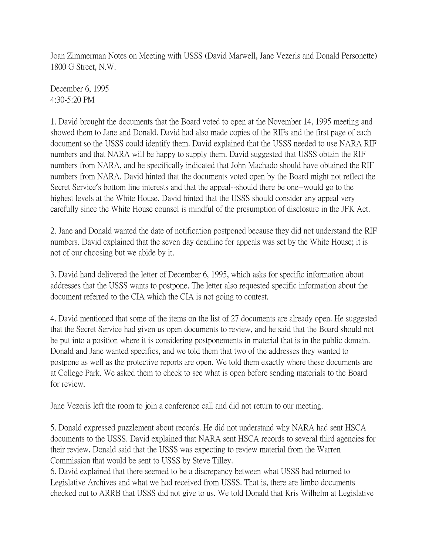Joan Zimmerman Notes on Meeting with USSS (David Marwell, Jane Vezeris and Donald Personette) 1800 G Street, N.W.

December 6, 1995 4:30-5:20 PM

1. David brought the documents that the Board voted to open at the November 14, 1995 meeting and showed them to Jane and Donald. David had also made copies of the RIFs and the first page of each document so the USSS could identify them. David explained that the USSS needed to use NARA RIF numbers and that NARA will be happy to supply them. David suggested that USSS obtain the RIF numbers from NARA, and he specifically indicated that John Machado should have obtained the RIF numbers from NARA. David hinted that the documents voted open by the Board might not reflect the Secret Service's bottom line interests and that the appeal--should there be one--would go to the highest levels at the White House. David hinted that the USSS should consider any appeal very carefully since the White House counsel is mindful of the presumption of disclosure in the JFK Act.

2. Jane and Donald wanted the date of notification postponed because they did not understand the RIF numbers. David explained that the seven day deadline for appeals was set by the White House; it is not of our choosing but we abide by it.

3. David hand delivered the letter of December 6, 1995, which asks for specific information about addresses that the USSS wants to postpone. The letter also requested specific information about the document referred to the CIA which the CIA is not going to contest.

4. David mentioned that some of the items on the list of 27 documents are already open. He suggested that the Secret Service had given us open documents to review, and he said that the Board should not be put into a position where it is considering postponements in material that is in the public domain. Donald and Jane wanted specifics, and we told them that two of the addresses they wanted to postpone as well as the protective reports are open. We told them exactly where these documents are at College Park. We asked them to check to see what is open before sending materials to the Board for review.

Jane Vezeris left the room to join a conference call and did not return to our meeting.

5. Donald expressed puzzlement about records. He did not understand why NARA had sent HSCA documents to the USSS. David explained that NARA sent HSCA records to several third agencies for their review. Donald said that the USSS was expecting to review material from the Warren Commission that would be sent to USSS by Steve Tilley.

6. David explained that there seemed to be a discrepancy between what USSS had returned to Legislative Archives and what we had received from USSS. That is, there are limbo documents checked out to ARRB that USSS did not give to us. We told Donald that Kris Wilhelm at Legislative